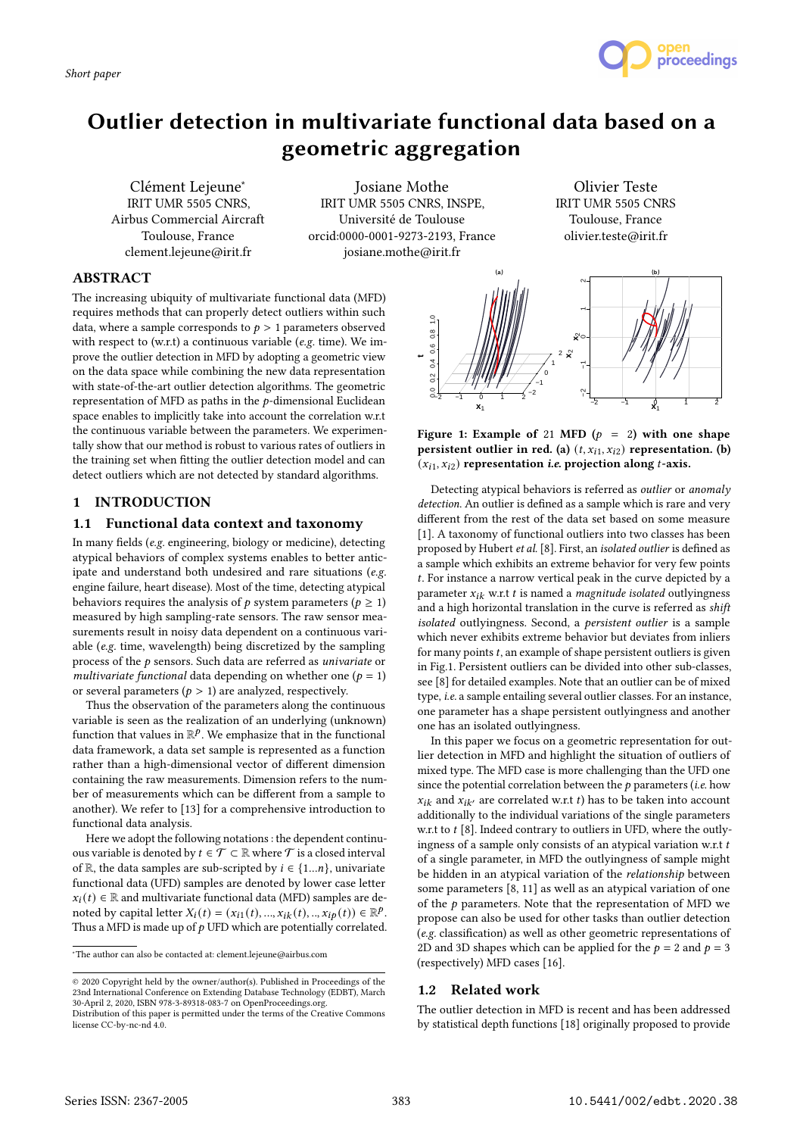



# Outlier detection in multivariate functional data based on a geometric aggregation

Clément Lejeune<sup>∗</sup> IRIT UMR 5505 CNRS, Airbus Commercial Aircraft Toulouse, France clement.lejeune@irit.fr

Josiane Mothe IRIT UMR 5505 CNRS, INSPE, Université de Toulouse orcid:0000-0001-9273-2193, France josiane.mothe@irit.fr

Olivier Teste IRIT UMR 5505 CNRS Toulouse, France olivier.teste@irit.fr

# ABSTRACT

The increasing ubiquity of multivariate functional data (MFD) requires methods that can properly detect outliers within such data, where a sample corresponds to  $p > 1$  parameters observed with respect to (w.r.t) a continuous variable (e.g. time). We improve the outlier detection in MFD by adopting a geometric view on the data space while combining the new data representation with state-of-the-art outlier detection algorithms. The geometric representation of MFD as paths in the  $p$ -dimensional Euclidean space enables to implicitly take into account the correlation w.r.t the continuous variable between the parameters. We experimentally show that our method is robust to various rates of outliers in the training set when fitting the outlier detection model and can detect outliers which are not detected by standard algorithms.

## 1 INTRODUCTION

# 1.1 Functional data context and taxonomy

In many fields (e.g. engineering, biology or medicine), detecting atypical behaviors of complex systems enables to better anticipate and understand both undesired and rare situations (e.g. engine failure, heart disease). Most of the time, detecting atypical behaviors requires the analysis of  $p$  system parameters ( $p \ge 1$ ) measured by high sampling-rate sensors. The raw sensor measurements result in noisy data dependent on a continuous variable (e.g. time, wavelength) being discretized by the sampling process of the  $p$  sensors. Such data are referred as *univariate* or multivariate functional data depending on whether one ( $p = 1$ ) or several parameters ( $p > 1$ ) are analyzed, respectively.

Thus the observation of the parameters along the continuous variable is seen as the realization of an underlying (unknown) function that values in  $\mathbb{R}^p$ . We emphasize that in the functional data framework, a data set sample is represented as a function rather than a high-dimensional vector of different dimension containing the raw measurements. Dimension refers to the number of measurements which can be different from a sample to another). We refer to [13] for a comprehensive introduction to functional data analysis.

Here we adopt the following notations : the dependent continuous variable is denoted by  $t \in \mathcal{T} \subset \mathbb{R}$  where  $\mathcal{T}$  is a closed interval of R, the data samples are sub-scripted by  $i \in \{1...n\}$ , univariate functional data (UFD) samples are denoted by lower case letter  $x_i(t) \in \mathbb{R}$  and multivariate functional data (MFD) samples are denoted by capital letter  $X_i(t) = (x_{i1}(t), ..., x_{ik}(t), ..., x_{ip}(t)) \in \mathbb{R}^p$ . Thus a MFD is made up of  $p$  UFD which are potentially correlated.

<sup>∗</sup>The author can also be contacted at: clement.lejeune@airbus.com



Figure 1: Example of 21 MFD  $(p = 2)$  with one shape persistent outlier in red. (a)  $(t, x_{i1}, x_{i2})$  representation. (b)  $(x_{i1}, x_{i2})$  representation *i.e.* projection along *t*-axis.

Detecting atypical behaviors is referred as outlier or anomaly detection. An outlier is defined as a sample which is rare and very different from the rest of the data set based on some measure [1]. A taxonomy of functional outliers into two classes has been proposed by Hubert et al. [8]. First, an isolated outlier is defined as a sample which exhibits an extreme behavior for very few points . For instance a narrow vertical peak in the curve depicted by a parameter  $x_{ik}$  w.r.t t is named a *magnitude isolated* outlyingness and a high horizontal translation in the curve is referred as shift isolated outlyingness. Second, a persistent outlier is a sample which never exhibits extreme behavior but deviates from inliers for many points  $t$ , an example of shape persistent outliers is given in Fig.1. Persistent outliers can be divided into other sub-classes, see [8] for detailed examples. Note that an outlier can be of mixed type, i.e. a sample entailing several outlier classes. For an instance, one parameter has a shape persistent outlyingness and another one has an isolated outlyingness.

In this paper we focus on a geometric representation for outlier detection in MFD and highlight the situation of outliers of mixed type. The MFD case is more challenging than the UFD one since the potential correlation between the  $p$  parameters (*i.e.* how  $x_{ik}$  and  $x_{ik'}$  are correlated w.r.t t) has to be taken into account additionally to the individual variations of the single parameters w.r.t to  $t$  [8]. Indeed contrary to outliers in UFD, where the outlyingness of a sample only consists of an atypical variation w.r.t  $t$ of a single parameter, in MFD the outlyingness of sample might be hidden in an atypical variation of the relationship between some parameters [8, 11] as well as an atypical variation of one of the  $p$  parameters. Note that the representation of MFD we propose can also be used for other tasks than outlier detection (e.g. classification) as well as other geometric representations of 2D and 3D shapes which can be applied for the  $p = 2$  and  $p = 3$ (respectively) MFD cases [16].

# 1.2 Related work

The outlier detection in MFD is recent and has been addressed by statistical depth functions [18] originally proposed to provide

<sup>©</sup> 2020 Copyright held by the owner/author(s). Published in Proceedings of the 23nd International Conference on Extending Database Technology (EDBT), March 30-April 2, 2020, ISBN 978-3-89318-083-7 on OpenProceedings.org.

Distribution of this paper is permitted under the terms of the Creative Commons license CC-by-nc-nd 4.0.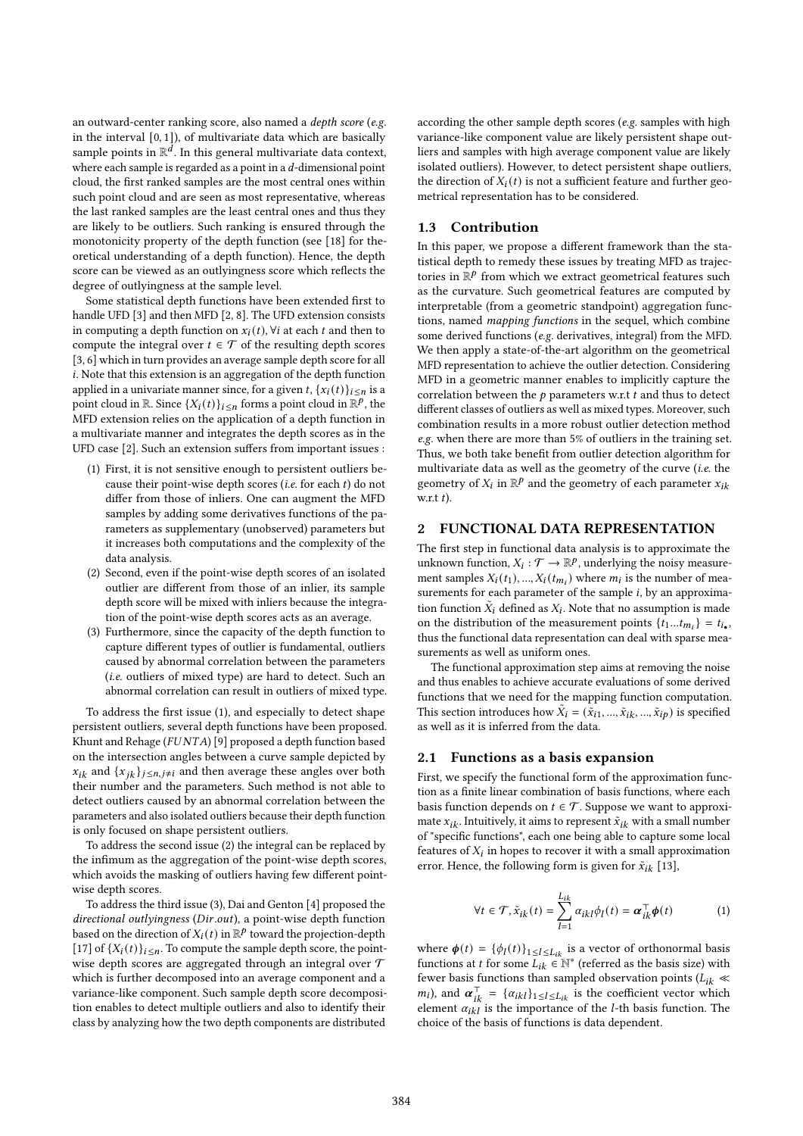an outward-center ranking score, also named a depth score (e.g. in the interval [0, 1]), of multivariate data which are basically sample points in  $\mathbb{R}^d$ . In this general multivariate data context, where each sample is regarded as a point in a  $d$ -dimensional point cloud, the first ranked samples are the most central ones within such point cloud and are seen as most representative, whereas the last ranked samples are the least central ones and thus they are likely to be outliers. Such ranking is ensured through the monotonicity property of the depth function (see [18] for theoretical understanding of a depth function). Hence, the depth score can be viewed as an outlyingness score which reflects the degree of outlyingness at the sample level.

Some statistical depth functions have been extended first to handle UFD [3] and then MFD [2, 8]. The UFD extension consists in computing a depth function on  $x_i(t)$ ,  $\forall i$  at each  $t$  and then to compute the integral over  $t \in \mathcal{T}$  of the resulting depth scores [3, 6] which in turn provides an average sample depth score for all . Note that this extension is an aggregation of the depth function applied in a univariate manner since, for a given t,  $\{x_i(t)\}_{i \le n}$  is a point cloud in  $\mathbb{R}$ . Since  $\{X_i(t)\}_{i \leq n}$  forms a point cloud in  $\mathbb{R}^p$ , the MFD extension relies on the application of a depth function in a multivariate manner and integrates the depth scores as in the UFD case [2]. Such an extension suffers from important issues :

- (1) First, it is not sensitive enough to persistent outliers because their point-wise depth scores (*i.e.* for each  $t$ ) do not differ from those of inliers. One can augment the MFD samples by adding some derivatives functions of the parameters as supplementary (unobserved) parameters but it increases both computations and the complexity of the data analysis.
- (2) Second, even if the point-wise depth scores of an isolated outlier are different from those of an inlier, its sample depth score will be mixed with inliers because the integration of the point-wise depth scores acts as an average.
- (3) Furthermore, since the capacity of the depth function to capture different types of outlier is fundamental, outliers caused by abnormal correlation between the parameters (i.e. outliers of mixed type) are hard to detect. Such an abnormal correlation can result in outliers of mixed type.

To address the first issue (1), and especially to detect shape persistent outliers, several depth functions have been proposed. Khunt and Rehage ( $FUNTA$ ) [9] proposed a depth function based on the intersection angles between a curve sample depicted by  $x_{ik}$  and  $\{x_{ik}\}_{i \leq n, j \neq i}$  and then average these angles over both their number and the parameters. Such method is not able to detect outliers caused by an abnormal correlation between the parameters and also isolated outliers because their depth function is only focused on shape persistent outliers.

To address the second issue (2) the integral can be replaced by the infimum as the aggregation of the point-wise depth scores, which avoids the masking of outliers having few different pointwise depth scores.

To address the third issue (3), Dai and Genton [4] proposed the  $directional$   $outlyingness$  ( $Dir.out$ ), a point-wise depth function based on the direction of  $X_i(t)$  in  $\mathbb{R}^p$  toward the projection-depth [17] of  $\{X_i(t)\}_{i \leq n}$ . To compute the sample depth score, the pointwise depth scores are aggregated through an integral over  $\mathcal T$ which is further decomposed into an average component and a variance-like component. Such sample depth score decomposition enables to detect multiple outliers and also to identify their class by analyzing how the two depth components are distributed

according the other sample depth scores (e.g. samples with high variance-like component value are likely persistent shape outliers and samples with high average component value are likely isolated outliers). However, to detect persistent shape outliers, the direction of  $X_i(t)$  is not a sufficient feature and further geometrical representation has to be considered.

## 1.3 Contribution

In this paper, we propose a different framework than the statistical depth to remedy these issues by treating MFD as trajectories in  $\mathbb{R}^p$  from which we extract geometrical features such as the curvature. Such geometrical features are computed by interpretable (from a geometric standpoint) aggregation functions, named mapping functions in the sequel, which combine some derived functions (e.g. derivatives, integral) from the MFD. We then apply a state-of-the-art algorithm on the geometrical MFD representation to achieve the outlier detection. Considering MFD in a geometric manner enables to implicitly capture the correlation between the  $p$  parameters w.r.t  $t$  and thus to detect different classes of outliers as well as mixed types. Moreover, such combination results in a more robust outlier detection method e.g. when there are more than 5% of outliers in the training set. Thus, we both take benefit from outlier detection algorithm for multivariate data as well as the geometry of the curve (i.e. the geometry of  $X_i$  in  $\mathbb{R}^p$  and the geometry of each parameter  $x_{ik}$  $wr + t$ 

#### 2 FUNCTIONAL DATA REPRESENTATION

The first step in functional data analysis is to approximate the unknown function,  $X_i : \mathcal{T} \to \mathbb{R}^p$ , underlying the noisy measurement samples  $X_i(t_1), ..., X_i(t_{m_i})$  where  $m_i$  is the number of measurements for each parameter of the sample  $i$ , by an approximation function  $\tilde{X}_i$  defined as  $X_i$ . Note that no assumption is made on the distribution of the measurement points  $\{t_1...t_{m_i}\} = t_{i_{\bullet}}$ , thus the functional data representation can deal with sparse measurements as well as uniform ones.

The functional approximation step aims at removing the noise and thus enables to achieve accurate evaluations of some derived functions that we need for the mapping function computation. This section introduces how  $\tilde{X}_i = (\tilde{x}_{i1},...,\tilde{x}_{ik},...,\tilde{x}_{ip})$  is specified as well as it is inferred from the data.

#### 2.1 Functions as a basis expansion

First, we specify the functional form of the approximation function as a finite linear combination of basis functions, where each basis function depends on  $t \in \mathcal{T}$ . Suppose we want to approximate  $x_{ik}$ . Intuitively, it aims to represent  $\tilde{x}_{ik}$  with a small number of "specific functions", each one being able to capture some local features of  $X_i$  in hopes to recover it with a small approximation error. Hence, the following form is given for  $\tilde{x}_{ik}$  [13],

$$
\forall t \in \mathcal{T}, \tilde{x}_{ik}(t) = \sum_{l=1}^{L_{ik}} \alpha_{ikl} \phi_l(t) = \boldsymbol{\alpha}_{ik}^{\top} \boldsymbol{\phi}(t)
$$
 (1)

where  $\phi(t) = {\phi_l(t)}_{1 \le l \le L_{ik}}$  is a vector of orthonormal basis functions at *t* for some  $L_{ik} \in \mathbb{N}^*$  (referred as the basis size) with fewer basis functions than sampled observation points ( $L_{ik} \ll$  $m_i$ ), and  $\alpha_{ik}^{\top} = {\alpha_{ikl}}_{1 \leq l \leq L_{ik}}$  is the coefficient vector which element  $\alpha_{ikl}$  is the importance of the *l*-th basis function. The choice of the basis of functions is data dependent.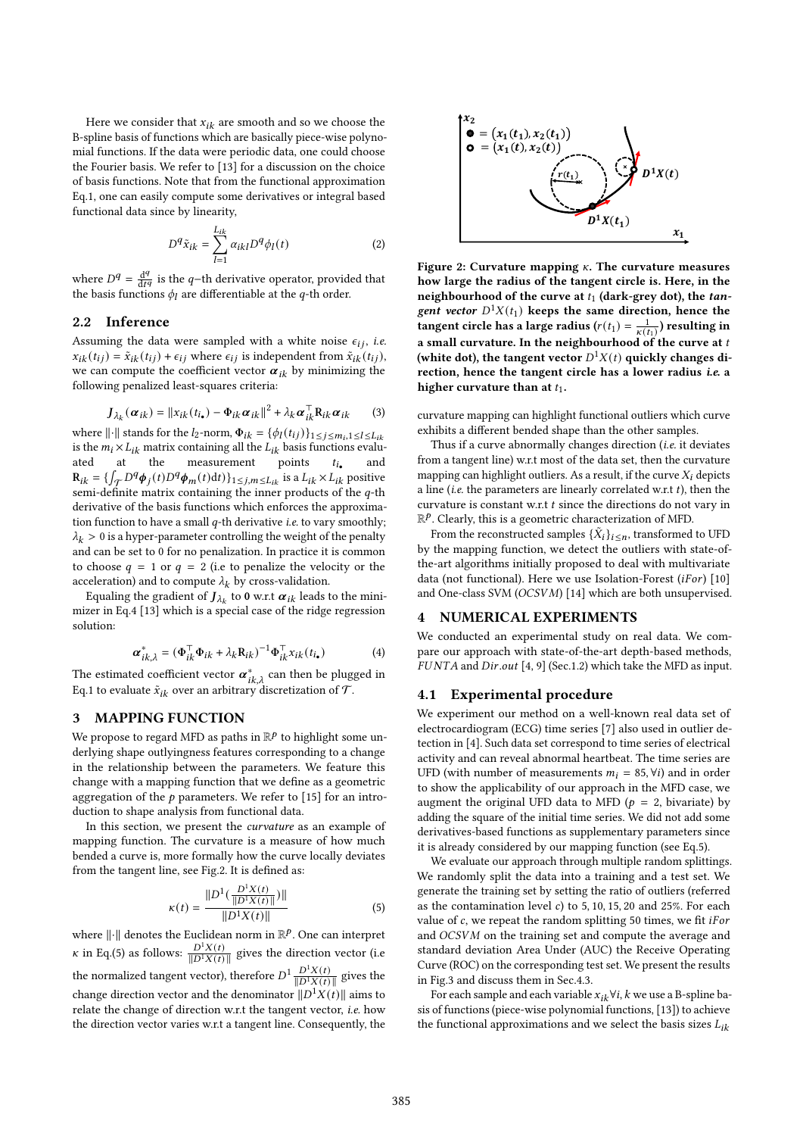Here we consider that  $x_{ik}$  are smooth and so we choose the B-spline basis of functions which are basically piece-wise polynomial functions. If the data were periodic data, one could choose the Fourier basis. We refer to [13] for a discussion on the choice of basis functions. Note that from the functional approximation Eq.1, one can easily compute some derivatives or integral based functional data since by linearity,

$$
D^q \tilde{x}_{ik} = \sum_{l=1}^{L_{ik}} \alpha_{ikl} D^q \phi_l(t) \tag{2}
$$

where  $D<sup>q</sup> = \frac{d<sup>q</sup>}{dt<sup>q</sup>}$  is the *q*-th derivative operator, provided that the basis functions  $\phi_l$  are differentiable at the q-th order.

#### 2.2 Inference

Assuming the data were sampled with a white noise  $\epsilon_{ij}$ , i.e.  $x_{ik}(t_{ij}) = \tilde{x}_{ik}(t_{ij}) + \epsilon_{ij}$  where  $\epsilon_{ij}$  is independent from  $\tilde{x}_{ik}(t_{ij})$ , we can compute the coefficient vector  $\alpha_{ik}$  by minimizing the following penalized least-squares criteria:

$$
\boldsymbol{J}_{\lambda_k}(\boldsymbol{\alpha}_{ik}) = ||\boldsymbol{x}_{ik}(t_{i_\bullet}) - \boldsymbol{\Phi}_{ik}\boldsymbol{\alpha}_{ik}||^2 + \lambda_k \boldsymbol{\alpha}_{ik}^\top \boldsymbol{R}_{ik}\boldsymbol{\alpha}_{ik} \qquad (3)
$$

where  $\|\cdot\|$  stands for the  $l_2$ -norm,  $\Phi_{ik} = {\phi_l(t_{ij})}_{1 \leq j \leq m_i, 1 \leq l \leq L_{ik}}$ is the  $m_i \times L_{ik}$  matrix containing all the  $L_{ik}$  basis functions evaluated at the measurement points  $t_{i_{\bullet}}$ and  $\mathbf{R}_{ik} = \{ \int_{\mathcal{T}} D^q \phi_j(t) D^q \phi_m(t) dt \} \}_{1 \leq j,m \leq L_{ik}}$  is a  $L_{ik} \times L_{ik}$  positive semi-definite matrix containing the inner products of the  $q$ -th derivative of the basis functions which enforces the approximation function to have a small  $q$ -th derivative *i.e.* to vary smoothly;  $\lambda_k > 0$  is a hyper-parameter controlling the weight of the penalty and can be set to 0 for no penalization. In practice it is common to choose  $q = 1$  or  $q = 2$  (i.e to penalize the velocity or the acceleration) and to compute  $\lambda_k$  by cross-validation.  $M^2\epsilon_4 = \sum_{i=1}^n a_{i0}N^2\epsilon_6 + \sum_{i=1}^n a_{i0}N^2\epsilon_7$ <br>
Where  $M^2 = \sum_{i=1}^n a_{i0}N^2\epsilon_7$  is the entropy are differentially equilible at the quilible at the quilible at the stating the stating the particular interpretent i

Equaling the gradient of  $J_{\lambda_k}$  to **0** w.r.t  $\pmb{\alpha}_{ik}$  leads to the minimizer in Eq.4 [13] which is a special case of the ridge regression solution:

$$
\boldsymbol{\alpha}_{ik,\lambda}^* = (\boldsymbol{\Phi}_{ik}^\top \boldsymbol{\Phi}_{ik} + \lambda_k \mathbf{R}_{ik})^{-1} \boldsymbol{\Phi}_{ik}^\top \boldsymbol{x}_{ik} (t_{i_\bullet})
$$
(4)

The estimated coefficient vector  $\boldsymbol{\alpha}_{ik,\lambda}^*$  can then be plugged in Eq.1 to evaluate  $\tilde{x}_{ik}$  over an arbitrary discretization of  $\mathcal{T}.$ 

## 3 MAPPING FUNCTION

We propose to regard MFD as paths in  $\mathbb{R}^p$  to highlight some underlying shape outlyingness features corresponding to a change in the relationship between the parameters. We feature this change with a mapping function that we define as a geometric aggregation of the  $p$  parameters. We refer to [15] for an introduction to shape analysis from functional data.

In this section, we present the curvature as an example of mapping function. The curvature is a measure of how much bended a curve is, more formally how the curve locally deviates from the tangent line, see Fig.2. It is defined as:

$$
\kappa(t) = \frac{\|D^1(\frac{D^1 X(t)}{\|D^1 X(t)\|})\|}{\|D^1 X(t)\|} \tag{5}
$$

where  $\lVert \cdot \rVert$  denotes the Euclidean norm in  $\mathbb{R}^p$ . One can interpret *κ* in Eq.(5) as follows:  $\frac{D^1 X(t)}{\|D^1 X(t)\|}$  gives the direction vector (i.e. the normalized tangent vector), therefore  $D^1 \frac{D^1 X(t)}{\|D^1 X(t)\|}$  gives the change direction vector and the denominator  $\|D^1X(t)\|$  aims to relate the change of direction w.r.t the tangent vector, i.e. how



Figure 2: Curvature mapping  $\kappa$ . The curvature measures how large the radius of the tangent circle is. Here, in the neighbourhood of the curve at  $t_1$  (dark-grey dot), the tangent vector  $D^1X(t_1)$  keeps the same direction, hence the tangent circle has a large radius ( $r(t_1) = \frac{1}{\kappa(t_1)}$ ) resulting in a small curvature. In the neighbourhood of the curve at  $t$ (white dot), the tangent vector  $D^1X(t)$  quickly changes direction, hence the tangent circle has a lower radius i.e. a higher curvature than at  $t_1$ .

curvature mapping can highlight functional outliers which curve exhibits a different bended shape than the other samples.

Thus if a curve abnormally changes direction (*i.e.* it deviates from a tangent line) w.r.t most of the data set, then the curvature mapping can highlight outliers. As a result, if the curve  $X_i$  depicts a line (*i.e.* the parameters are linearly correlated w.r.t  $t$ ), then the curvature is constant w.r.t  $t$  since the directions do not vary in  $\mathbb{R}^p$ . Clearly, this is a geometric characterization of MFD.

From the reconstructed samples  $\{\tilde{X}_i\}_{i \leq n}$ , transformed to UFD by the mapping function, we detect the outliers with state-ofthe-art algorithms initially proposed to deal with multivariate data (not functional). Here we use Isolation-Forest  $(iFor)$  [10] and One-class SVM ( $OCSVM$ ) [14] which are both unsupervised.

#### 4 NUMERICAL EXPERIMENTS

We conducted an experimental study on real data. We compare our approach with state-of-the-art depth-based methods,  $FUNTA$  and  $Dir.out [4, 9]$  (Sec.1.2) which take the MFD as input.

#### 4.1 Experimental procedure

We experiment our method on a well-known real data set of electrocardiogram (ECG) time series [7] also used in outlier detection in [4]. Such data set correspond to time series of electrical activity and can reveal abnormal heartbeat. The time series are UFD (with number of measurements  $m_i = 85$ ,  $\forall i$ ) and in order to show the applicability of our approach in the MFD case, we augment the original UFD data to MFD ( $p = 2$ , bivariate) by adding the square of the initial time series. We did not add some derivatives-based functions as supplementary parameters since it is already considered by our mapping function (see Eq.5).

We evaluate our approach through multiple random splittings. We randomly split the data into a training and a test set. We generate the training set by setting the ratio of outliers (referred as the contamination level  $c$ ) to 5, 10, 15, 20 and 25%. For each value of  $c$ , we repeat the random splitting 50 times, we fit *iFor* and OCSVM on the training set and compute the average and standard deviation Area Under (AUC) the Receive Operating Curve (ROC) on the corresponding test set. We present the results in Fig.3 and discuss them in Sec.4.3.

For each sample and each variable  $x_{ik} \forall i, k$  we use a B-spline basis of functions (piece-wise polynomial functions, [13]) to achieve the functional approximations and we select the basis sizes  $L_{ik}$